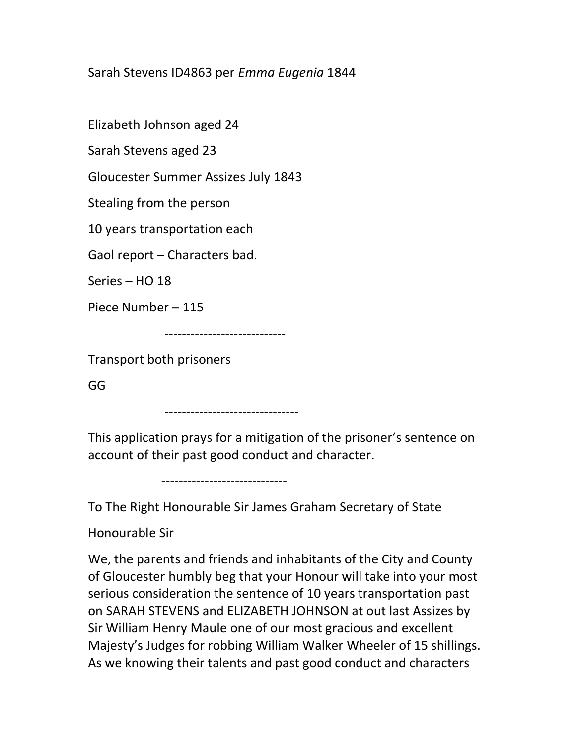## Sarah Stevens ID4863 per Emma Eugenia 1844

Elizabeth Johnson aged 24

Sarah Stevens aged 23

Gloucester Summer Assizes July 1843

Stealing from the person

10 years transportation each

Gaol report – Characters bad.

Series – HO 18

Piece Number – 115

----------------------------

Transport both prisoners

GG

-------------------------------

This application prays for a mitigation of the prisoner's sentence on account of their past good conduct and character.

-----------------------------

To The Right Honourable Sir James Graham Secretary of State

Honourable Sir

We, the parents and friends and inhabitants of the City and County of Gloucester humbly beg that your Honour will take into your most serious consideration the sentence of 10 years transportation past on SARAH STEVENS and ELIZABETH JOHNSON at out last Assizes by Sir William Henry Maule one of our most gracious and excellent Majesty's Judges for robbing William Walker Wheeler of 15 shillings. As we knowing their talents and past good conduct and characters